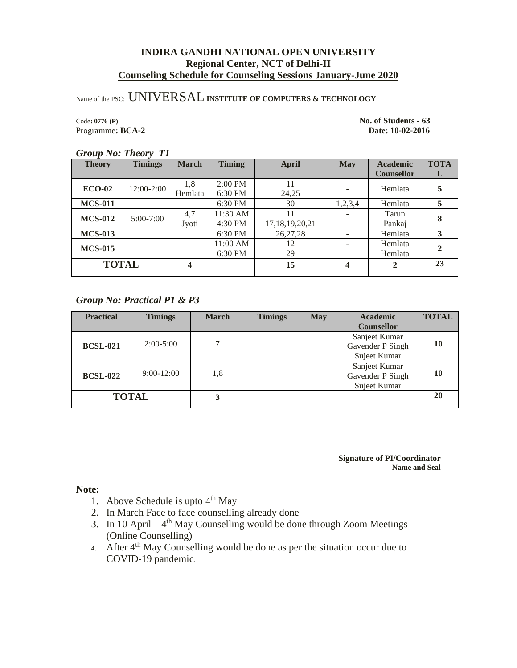# Name of the PSC: UNIVERSAL**INSTITUTE OF COMPUTERS & TECHNOLOGY**

Programme: **BCA-2** 

Code**: 0776 (P) No. of Students - 63**

### *Group No: Theory T1*

| <b>Theory</b>  | <b>Timings</b> | <b>March</b> | <b>Timing</b> | <b>April</b>       | <b>May</b> | <b>Academic</b>   | <b>TOTA</b> |
|----------------|----------------|--------------|---------------|--------------------|------------|-------------------|-------------|
|                |                |              |               |                    |            | <b>Counsellor</b> | L           |
| $ECO-02$       | $12:00-2:00$   | 1,8          | 2:00 PM       | 11                 |            | Hemlata           | 5           |
|                |                | Hemlata      | 6:30 PM       | 24.25              |            |                   |             |
| <b>MCS-011</b> |                |              | 6:30 PM       | 30                 | 1,2,3,4    | Hemlata           | 5           |
| <b>MCS-012</b> | $5:00 - 7:00$  | 4,7          | 11:30 AM      | 11                 |            | Tarun             | 8           |
|                |                | Jyoti        | 4:30 PM       | 17, 18, 19, 20, 21 |            | Pankaj            |             |
| <b>MCS-013</b> |                |              | 6:30 PM       | 26, 27, 28         |            | Hemlata           |             |
|                |                |              | 11:00 AM      | 12                 |            | Hemlata           | $\mathbf 2$ |
| <b>MCS-015</b> |                |              | 6:30 PM       | 29                 |            | Hemlata           |             |
| <b>TOTAL</b>   |                | 4            |               | 15                 | 4          | 2                 | 23          |
|                |                |              |               |                    |            |                   |             |

### *Group No: Practical P1 & P3*

| <b>Practical</b> | <b>Timings</b> | <b>March</b> | <b>Timings</b> | <b>May</b> | <b>Academic</b>                                   | <b>TOTAL</b> |
|------------------|----------------|--------------|----------------|------------|---------------------------------------------------|--------------|
|                  |                |              |                |            | <b>Counsellor</b>                                 |              |
| <b>BCSL-021</b>  | $2:00-5:00$    | 7            |                |            | Sanjeet Kumar<br>Gavender P Singh<br>Sujeet Kumar | 10           |
| <b>BCSL-022</b>  | $9:00-12:00$   | 1,8          |                |            | Sanjeet Kumar<br>Gavender P Singh<br>Sujeet Kumar | 10           |
|                  | <b>TOTAL</b>   | 3            |                |            |                                                   | 20           |

### **Signature of PI/Coordinator Name and Seal**

- 1. Above Schedule is upto  $4<sup>th</sup>$  May
- 2. In March Face to face counselling already done
- 3. In 10 April  $-4$ <sup>th</sup> May Counselling would be done through Zoom Meetings (Online Counselling)
- 4. After 4<sup>th</sup> May Counselling would be done as per the situation occur due to COVID-19 pandemic.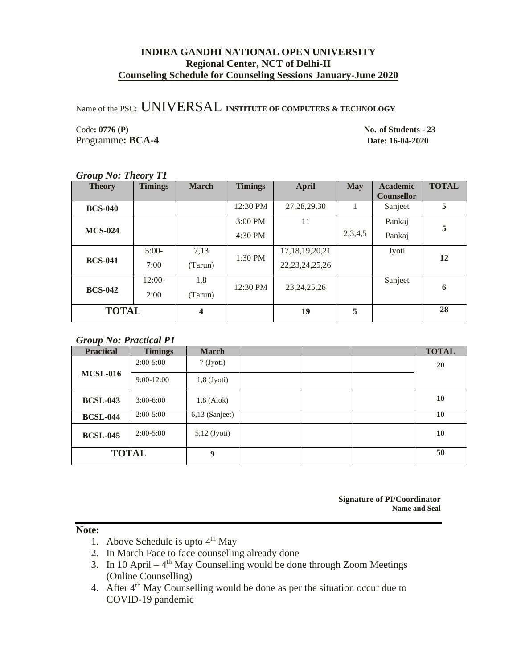Name of the PSC: UNIVERSAL **INSTITUTE OF COMPUTERS & TECHNOLOGY**

Code**: 0776 (P) No. of Students - 23** Programme**: BCA-4 Date: 16-04-2020**

### *Group No: Theory T1*

| <b>Theory</b>  | <b>Timings</b> | <b>March</b> | <b>Timings</b> | <b>April</b>       | <b>May</b> | <b>Academic</b><br><b>Counsellor</b> | <b>TOTAL</b> |
|----------------|----------------|--------------|----------------|--------------------|------------|--------------------------------------|--------------|
| <b>BCS-040</b> |                |              | 12:30 PM       | 27, 28, 29, 30     | 1          | Sanjeet                              | 5            |
|                |                |              | $3:00$ PM      | 11                 |            | Pankaj                               | 5            |
| <b>MCS-024</b> |                |              | 4:30 PM        |                    | 2,3,4,5    | Pankaj                               |              |
|                | $5:00-$        | 7,13         | 1:30 PM        | 17, 18, 19, 20, 21 |            | Jyoti                                | 12           |
| <b>BCS-041</b> | 7:00           | (Tarun)      |                | 22, 23, 24, 25, 26 |            |                                      |              |
|                | $12:00-$       | 1,8          | 12:30 PM       | 23, 24, 25, 26     |            | Sanjeet                              | 6            |
| <b>BCS-042</b> | 2:00           | (Tarun)      |                |                    |            |                                      |              |
| <b>TOTAL</b>   |                | 4            |                | 19                 | 5          |                                      | 28           |

### *Group No: Practical P1*

| <b>Practical</b> | <b>Timings</b> | <b>March</b>   |  | <b>TOTAL</b> |
|------------------|----------------|----------------|--|--------------|
|                  | $2:00-5:00$    | 7 (Jyoti)      |  | 20           |
| <b>MCSL-016</b>  | $9:00-12:00$   | $1,8$ (Jyoti)  |  |              |
| <b>BCSL-043</b>  | $3:00 - 6:00$  | $1,8$ (Alok)   |  | 10           |
| <b>BCSL-044</b>  | $2:00-5:00$    | 6,13 (Sanjeet) |  | 10           |
| <b>BCSL-045</b>  | $2:00-5:00$    | $5,12$ (Jyoti) |  | 10           |
| <b>TOTAL</b>     |                | 9              |  | 50           |

**Signature of PI/Coordinator Name and Seal**

- 1. Above Schedule is upto  $4<sup>th</sup>$  May
- 2. In March Face to face counselling already done
- 3. In 10 April  $-4$ <sup>th</sup> May Counselling would be done through Zoom Meetings (Online Counselling)
- 4. After 4<sup>th</sup> May Counselling would be done as per the situation occur due to COVID-19 pandemic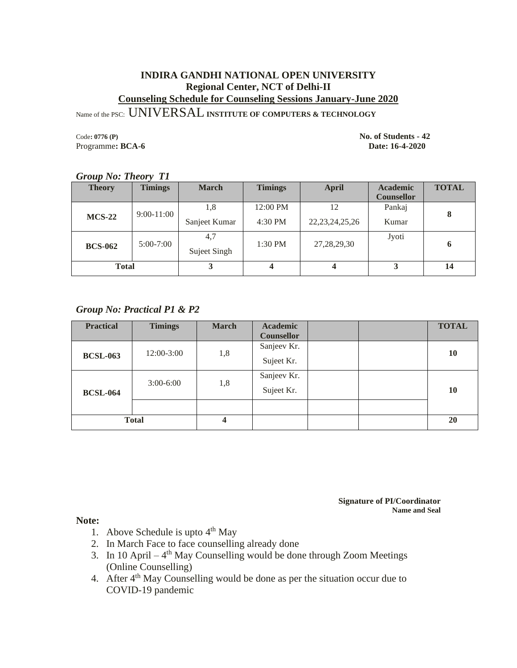Name of the PSC: UNIVERSAL**INSTITUTE OF COMPUTERS & TECHNOLOGY**

Programme: **BCA-6** Date: 16-4-2020

Code**: 0776 (P) No. of Students - 42**

| <b>Theory</b>  | <b>Timings</b> | <b>March</b>        | <b>Timings</b> | <b>April</b>       | <b>Academic</b><br><b>Counsellor</b> | <b>TOTAL</b> |
|----------------|----------------|---------------------|----------------|--------------------|--------------------------------------|--------------|
| $MCS-22$       | $9:00 - 11:00$ | 1,8                 | 12:00 PM       | 12                 | Pankaj                               | 8            |
|                |                | Sanjeet Kumar       | 4:30 PM        | 22, 23, 24, 25, 26 | Kumar                                |              |
| <b>BCS-062</b> | $5:00-7:00$    | 4,7<br>Suject Singh | 1:30 PM        | 27, 28, 29, 30     | Jyoti                                | -6           |
| <b>Total</b>   |                |                     |                | 4                  | 3                                    | 14           |

### *Group No: Theory T1*

# *Group No: Practical P1 & P2*

| <b>Practical</b> | <b>Timings</b> | <b>March</b> | Academic          |  | <b>TOTAL</b> |
|------------------|----------------|--------------|-------------------|--|--------------|
|                  |                |              | <b>Counsellor</b> |  |              |
| <b>BCSL-063</b>  | 12:00-3:00     | 1,8          | Sanjeev Kr.       |  | 10           |
|                  |                |              | Sujeet Kr.        |  |              |
| <b>BCSL-064</b>  | $3:00-6:00$    | 1,8          | Sanjeev Kr.       |  |              |
|                  |                |              | Sujeet Kr.        |  | 10           |
|                  |                |              |                   |  |              |
|                  | <b>Total</b>   |              |                   |  | 20           |

**Signature of PI/Coordinator Name and Seal**

- 1. Above Schedule is upto  $4<sup>th</sup>$  May
- 2. In March Face to face counselling already done
- 3. In 10 April  $-4$ <sup>th</sup> May Counselling would be done through Zoom Meetings (Online Counselling)
- 4. After 4<sup>th</sup> May Counselling would be done as per the situation occur due to COVID-19 pandemic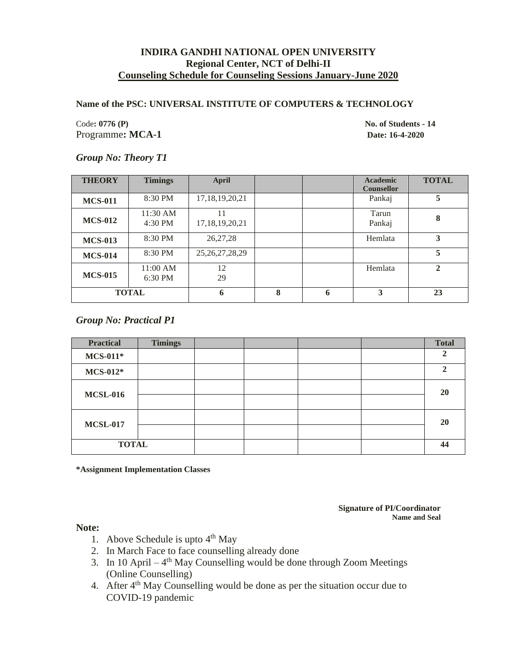### **Name of the PSC: UNIVERSAL INSTITUTE OF COMPUTERS & TECHNOLOGY**

Code: 0776 (P) No. of Students - **14** Programme**: MCA-1 Date: 16-4-2020**

### *Group No: Theory T1*

| <b>THEORY</b>  | <b>Timings</b>      | <b>April</b>             |   |   | <b>Academic</b><br><b>Counsellor</b> | <b>TOTAL</b> |
|----------------|---------------------|--------------------------|---|---|--------------------------------------|--------------|
| <b>MCS-011</b> | 8:30 PM             | 17, 18, 19, 20, 21       |   |   | Pankaj                               | 5            |
| <b>MCS-012</b> | 11:30 AM<br>4:30 PM | 11<br>17, 18, 19, 20, 21 |   |   | Tarun<br>Pankaj                      | 8            |
| <b>MCS-013</b> | 8:30 PM             | 26,27,28                 |   |   | Hemlata                              | 3            |
| <b>MCS-014</b> | 8:30 PM             | 25, 26, 27, 28, 29       |   |   |                                      | 5            |
| <b>MCS-015</b> | 11:00 AM<br>6:30 PM | 12<br>29                 |   |   | Hemlata                              | $\mathbf{2}$ |
|                | <b>TOTAL</b>        | 6                        | 8 | 6 | 3                                    | 23           |

### *Group No: Practical P1*

| <b>Practical</b> | <b>Timings</b> |  |  | <b>Total</b> |
|------------------|----------------|--|--|--------------|
| $MCS-011*$       |                |  |  | ി            |
| $MCS-012*$       |                |  |  | ↑            |
| <b>MCSL-016</b>  |                |  |  | 20           |
|                  |                |  |  |              |
| <b>MCSL-017</b>  |                |  |  | 20           |
|                  |                |  |  |              |
| <b>TOTAL</b>     |                |  |  | 44           |

**\*Assignment Implementation Classes**

**Signature of PI/Coordinator Name and Seal**

- 1. Above Schedule is upto  $4<sup>th</sup>$  May
- 2. In March Face to face counselling already done
- 3. In 10 April  $-4$ <sup>th</sup> May Counselling would be done through Zoom Meetings (Online Counselling)
- 4. After 4<sup>th</sup> May Counselling would be done as per the situation occur due to COVID-19 pandemic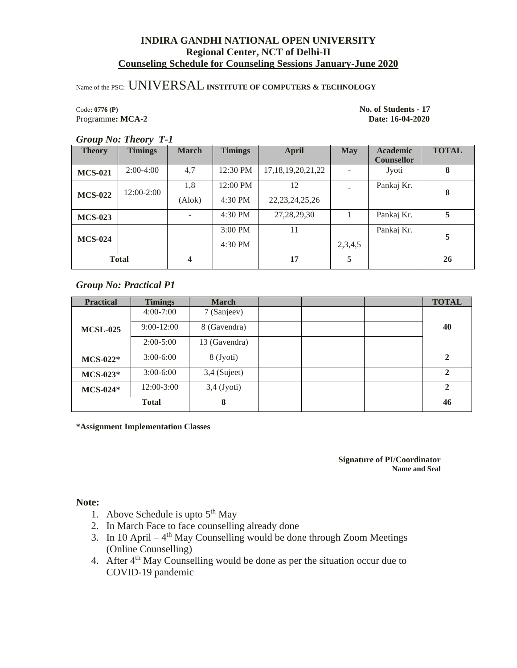# Name of the PSC: UNIVERSAL**INSTITUTE OF COMPUTERS & TECHNOLOGY**

### Code**: 0776 (P) No. of Students - 17** Programme**: MCA-2 Date: 16-04-2020**

### *Group No: Theory T-1*

| <b>Theory</b>  | <b>Timings</b> | <b>March</b> | <b>Timings</b> | <b>April</b>           | <b>May</b> | <b>Academic</b>   | <b>TOTAL</b> |
|----------------|----------------|--------------|----------------|------------------------|------------|-------------------|--------------|
|                |                |              |                |                        |            | <b>Counsellor</b> |              |
| <b>MCS-021</b> | $2:00-4:00$    | 4,7          | 12:30 PM       | 17, 18, 19, 20, 21, 22 |            | Jyoti             | 8            |
|                | 12:00-2:00     | 1,8          | 12:00 PM       | 12                     |            | Pankaj Kr.        | 8            |
| <b>MCS-022</b> |                | (Alok)       | 4:30 PM        | 22, 23, 24, 25, 26     |            |                   |              |
| <b>MCS-023</b> |                |              | 4:30 PM        | 27, 28, 29, 30         |            | Pankaj Kr.        | 5            |
|                |                |              | $3:00$ PM      | 11                     |            | Pankaj Kr.        | 5            |
| <b>MCS-024</b> |                |              | 4:30 PM        |                        | 2,3,4,5    |                   |              |
|                | <b>Total</b>   | 4            |                | 17                     | 5          |                   | 26           |

# *Group No: Practical P1*

| <b>Practical</b> | <b>Timings</b> | <b>March</b>   |  | <b>TOTAL</b>   |
|------------------|----------------|----------------|--|----------------|
|                  | $4:00 - 7:00$  | 7 (Sanjeev)    |  |                |
| <b>MCSL-025</b>  | $9:00-12:00$   | 8 (Gavendra)   |  | 40             |
|                  | $2:00-5:00$    | 13 (Gavendra)  |  |                |
| $MCS-022*$       | $3:00-6:00$    | 8 (Jyoti)      |  | 2              |
| $MCS-023*$       | $3:00-6:00$    | $3,4$ (Sujeet) |  | $\overline{2}$ |
| $MCS-024*$       | $12:00-3:00$   | $3,4$ (Jyoti)  |  | $\mathbf{2}$   |
|                  | <b>Total</b>   | 8              |  | 46             |

**\*Assignment Implementation Classes**

**Signature of PI/Coordinator Name and Seal**

- 1. Above Schedule is upto  $5<sup>th</sup>$  May
- 2. In March Face to face counselling already done
- 3. In 10 April  $-4$ <sup>th</sup> May Counselling would be done through Zoom Meetings (Online Counselling)
- 4. After 4<sup>th</sup> May Counselling would be done as per the situation occur due to COVID-19 pandemic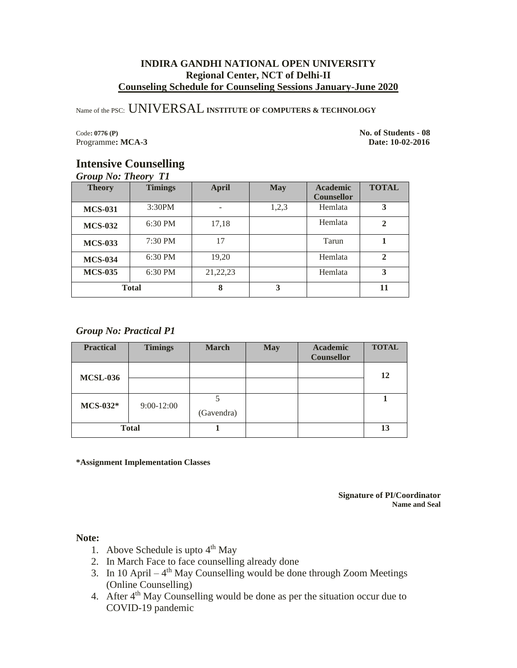Name of the PSC: UNIVERSAL**INSTITUTE OF COMPUTERS & TECHNOLOGY**

Code**: 0776 (P) No. of Students - 08** Programme**: MCA-3 Date: 10-02-2016**

# **Intensive Counselling**

*Group No: Theory T1*

| <b>Theory</b>  | <b>Timings</b> | <b>April</b> | <b>May</b> | <b>Academic</b><br><b>Counsellor</b> | <b>TOTAL</b> |
|----------------|----------------|--------------|------------|--------------------------------------|--------------|
| <b>MCS-031</b> | 3:30PM         |              | 1,2,3      | Hemlata                              | 3            |
| <b>MCS-032</b> | 6:30 PM        | 17,18        |            | Hemlata                              | $\mathbf{2}$ |
| <b>MCS-033</b> | $7:30$ PM      | 17           |            | Tarun                                |              |
| <b>MCS-034</b> | 6:30 PM        | 19,20        |            | Hemlata                              | $\mathbf{2}$ |
| <b>MCS-035</b> | $6:30$ PM      | 21, 22, 23   |            | Hemlata                              | 3            |
|                | <b>Total</b>   | 8            | 3          |                                      | 11           |

# *Group No: Practical P1*

| <b>Practical</b> | <b>Timings</b> | <b>March</b> | <b>May</b> | <b>Academic</b><br><b>Counsellor</b> | <b>TOTAL</b> |
|------------------|----------------|--------------|------------|--------------------------------------|--------------|
| <b>MCSL-036</b>  |                |              |            |                                      | 12           |
|                  |                |              |            |                                      |              |
| $MCS-032*$       | $9:00-12:00$   | (Gavendra)   |            |                                      |              |
|                  | <b>Total</b>   |              |            |                                      | 13           |

**\*Assignment Implementation Classes**

**Signature of PI/Coordinator Name and Seal**

- 1. Above Schedule is upto  $4<sup>th</sup>$  May
- 2. In March Face to face counselling already done
- 3. In 10 April  $-4$ <sup>th</sup> May Counselling would be done through Zoom Meetings (Online Counselling)
- 4. After 4<sup>th</sup> May Counselling would be done as per the situation occur due to COVID-19 pandemic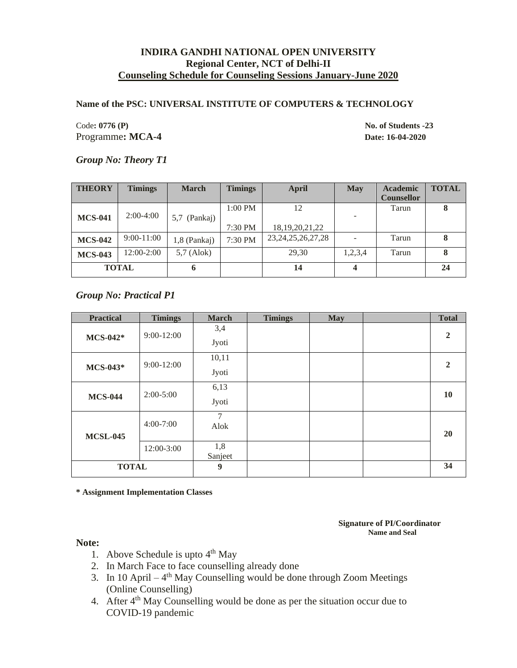### **Name of the PSC: UNIVERSAL INSTITUTE OF COMPUTERS & TECHNOLOGY**

Code: 0776 (P) No. of Students -23 Programme**: MCA-4 Date: 16-04-2020**

### *Group No: Theory T1*

| <b>THEORY</b>  | <b>Timings</b> | <b>March</b> | <b>Timings</b> | April                  | <b>May</b> | <b>Academic</b>   | <b>TOTAL</b> |
|----------------|----------------|--------------|----------------|------------------------|------------|-------------------|--------------|
|                |                |              |                |                        |            | <b>Counsellor</b> |              |
|                |                |              | $1:00$ PM      | 12                     |            | Tarun             | 8            |
| <b>MCS-041</b> | $2:00-4:00$    | 5,7 (Pankaj) |                |                        |            |                   |              |
|                |                |              | 7:30 PM        | 18, 19, 20, 21, 22     |            |                   |              |
| <b>MCS-042</b> | $9:00-11:00$   | 1,8 (Pankaj) | 7:30 PM        | 23, 24, 25, 26, 27, 28 |            | Tarun             |              |
| <b>MCS-043</b> | $12:00-2:00$   | $5,7$ (Alok) |                | 29,30                  | 1,2,3,4    | Tarun             | 8            |
| <b>TOTAL</b>   |                | 6            |                | 14                     | 4          |                   | 24           |

*Group No: Practical P1*

| <b>Practical</b> | <b>Timings</b> | <b>March</b> | <b>Timings</b> | <b>May</b> | <b>Total</b>   |
|------------------|----------------|--------------|----------------|------------|----------------|
|                  | $9:00 - 12:00$ | 3,4          |                |            | $\overline{2}$ |
| $MCS-042*$       |                | Jyoti        |                |            |                |
| $MCS-043*$       | $9:00-12:00$   | 10,11        |                |            | $\mathbf{2}$   |
|                  |                | Jyoti        |                |            |                |
|                  | $2:00-5:00$    | 6,13         |                |            | 10             |
| <b>MCS-044</b>   |                | Jyoti        |                |            |                |
|                  | $4:00 - 7:00$  | 7            |                |            |                |
| <b>MCSL-045</b>  |                | Alok         |                |            | <b>20</b>      |
|                  | 12:00-3:00     | 1,8          |                |            |                |
|                  |                | Sanjeet      |                |            |                |
| <b>TOTAL</b>     |                | 9            |                |            | 34             |

**\* Assignment Implementation Classes**

**Signature of PI/Coordinator Name and Seal**

- 1. Above Schedule is upto  $4<sup>th</sup>$  May
- 2. In March Face to face counselling already done
- 3. In 10 April  $-4$ <sup>th</sup> May Counselling would be done through Zoom Meetings (Online Counselling)
- 4. After 4<sup>th</sup> May Counselling would be done as per the situation occur due to COVID-19 pandemic